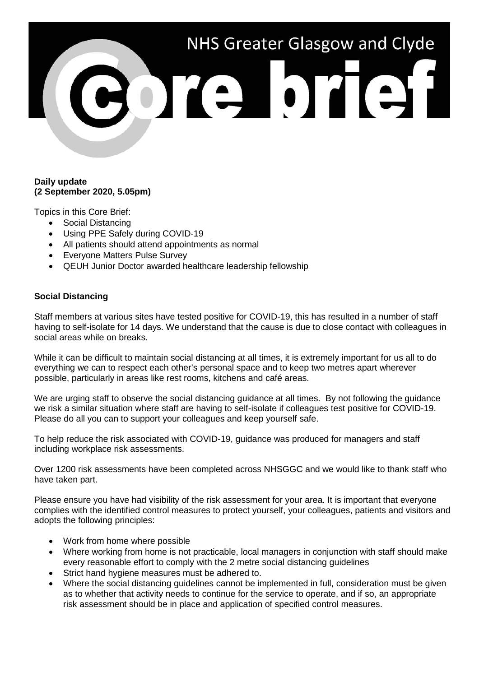

### **Daily update (2 September 2020, 5.05pm)**

Topics in this Core Brief:

- Social Distancing
- Using PPE Safely during COVID-19
- All patients should attend appointments as normal
- Everyone Matters Pulse Survey
- QEUH Junior Doctor awarded healthcare leadership fellowship

## **Social Distancing**

Staff members at various sites have tested positive for COVID-19, this has resulted in a number of staff having to self-isolate for 14 days. We understand that the cause is due to close contact with colleagues in social areas while on breaks.

While it can be difficult to maintain social distancing at all times, it is extremely important for us all to do everything we can to respect each other's personal space and to keep two metres apart wherever possible, particularly in areas like rest rooms, kitchens and café areas.

We are urging staff to observe the social distancing guidance at all times. By not following the guidance we risk a similar situation where staff are having to self-isolate if colleagues test positive for COVID-19. Please do all you can to support your colleagues and keep yourself safe.

To help reduce the risk associated with COVID-19, guidance was produced for managers and staff including workplace risk assessments.

Over 1200 risk assessments have been completed across NHSGGC and we would like to thank staff who have taken part.

Please ensure you have had visibility of the risk assessment for your area. It is important that everyone complies with the identified control measures to protect yourself, your colleagues, patients and visitors and adopts the following principles:

- Work from home where possible
- Where working from home is not practicable, local managers in conjunction with staff should make every reasonable effort to comply with the 2 metre social distancing guidelines
- Strict hand hygiene measures must be adhered to.
- Where the social distancing guidelines cannot be implemented in full, consideration must be given as to whether that activity needs to continue for the service to operate, and if so, an appropriate risk assessment should be in place and application of specified control measures.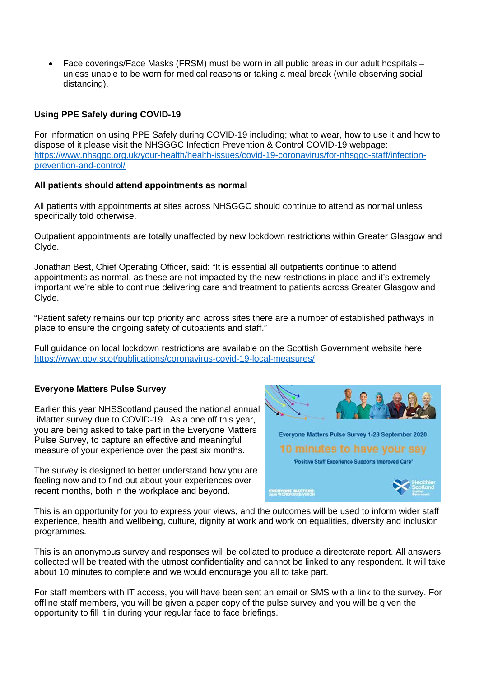• Face coverings/Face Masks (FRSM) must be worn in all public areas in our adult hospitals – unless unable to be worn for medical reasons or taking a meal break (while observing social distancing).

# **Using PPE Safely during COVID-19**

For information on using PPE Safely during COVID-19 including; what to wear, how to use it and how to dispose of it please visit the NHSGGC Infection Prevention & Control COVID-19 webpage: [https://www.nhsggc.org.uk/your-health/health-issues/covid-19-coronavirus/for-nhsggc-staff/infection](https://www.nhsggc.org.uk/your-health/health-issues/covid-19-coronavirus/for-nhsggc-staff/infection-prevention-and-control/)[prevention-and-control/](https://www.nhsggc.org.uk/your-health/health-issues/covid-19-coronavirus/for-nhsggc-staff/infection-prevention-and-control/)

### **All patients should attend appointments as normal**

All patients with appointments at sites across NHSGGC should continue to attend as normal unless specifically told otherwise.

Outpatient appointments are totally unaffected by new lockdown restrictions within Greater Glasgow and Clyde.

Jonathan Best, Chief Operating Officer, said: "It is essential all outpatients continue to attend appointments as normal, as these are not impacted by the new restrictions in place and it's extremely important we're able to continue delivering care and treatment to patients across Greater Glasgow and Clyde.

"Patient safety remains our top priority and across sites there are a number of established pathways in place to ensure the ongoing safety of outpatients and staff."

Full guidance on local lockdown restrictions are available on the Scottish Government website here: <https://www.gov.scot/publications/coronavirus-covid-19-local-measures/>

## **Everyone Matters Pulse Survey**

Earlier this year NHSScotland paused the national annual iMatter survey due to COVID-19. As a one off this year, you are being asked to take part in the Everyone Matters Pulse Survey, to capture an effective and meaningful measure of your experience over the past six months.

The survey is designed to better understand how you are feeling now and to find out about your experiences over recent months, both in the workplace and beyond.



This is an opportunity for you to express your views, and the outcomes will be used to inform wider staff experience, health and wellbeing, culture, dignity at work and work on equalities, diversity and inclusion programmes.

This is an anonymous survey and responses will be collated to produce a directorate report. All answers collected will be treated with the utmost confidentiality and cannot be linked to any respondent. It will take about 10 minutes to complete and we would encourage you all to take part.

For staff members with IT access, you will have been sent an email or SMS with a link to the survey. For offline staff members, you will be given a paper copy of the pulse survey and you will be given the opportunity to fill it in during your regular face to face briefings.